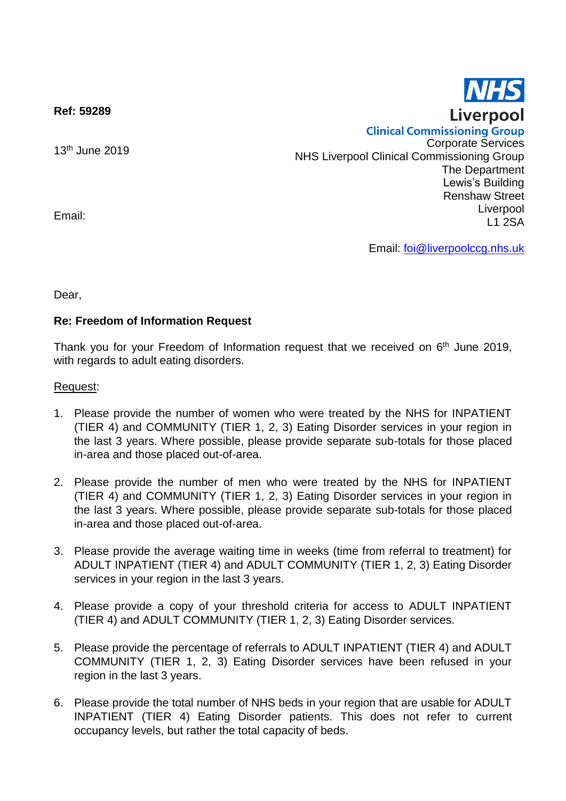**Ref: 59289**

13th June 2019

**Clinical Commissioning Group** Corporate Services NHS Liverpool Clinical Commissioning Group The Department Lewis's Building Renshaw Street Liverpool L1 2SA

Email: [foi@liverpoolccg.nhs.uk](mailto:foi@liverpoolccg.nhs.uk)

Dear,

Email:

## **Re: Freedom of Information Request**

Thank you for your Freedom of Information request that we received on 6<sup>th</sup> June 2019, with regards to adult eating disorders.

## Request:

- 1. Please provide the number of women who were treated by the NHS for INPATIENT (TIER 4) and COMMUNITY (TIER 1, 2, 3) Eating Disorder services in your region in the last 3 years. Where possible, please provide separate sub-totals for those placed in-area and those placed out-of-area.
- 2. Please provide the number of men who were treated by the NHS for INPATIENT (TIER 4) and COMMUNITY (TIER 1, 2, 3) Eating Disorder services in your region in the last 3 years. Where possible, please provide separate sub-totals for those placed in-area and those placed out-of-area.
- 3. Please provide the average waiting time in weeks (time from referral to treatment) for ADULT INPATIENT (TIER 4) and ADULT COMMUNITY (TIER 1, 2, 3) Eating Disorder services in your region in the last 3 years.
- 4. Please provide a copy of your threshold criteria for access to ADULT INPATIENT (TIER 4) and ADULT COMMUNITY (TIER 1, 2, 3) Eating Disorder services.
- 5. Please provide the percentage of referrals to ADULT INPATIENT (TIER 4) and ADULT COMMUNITY (TIER 1, 2, 3) Eating Disorder services have been refused in your region in the last 3 years.
- 6. Please provide the total number of NHS beds in your region that are usable for ADULT INPATIENT (TIER 4) Eating Disorder patients. This does not refer to current occupancy levels, but rather the total capacity of beds.